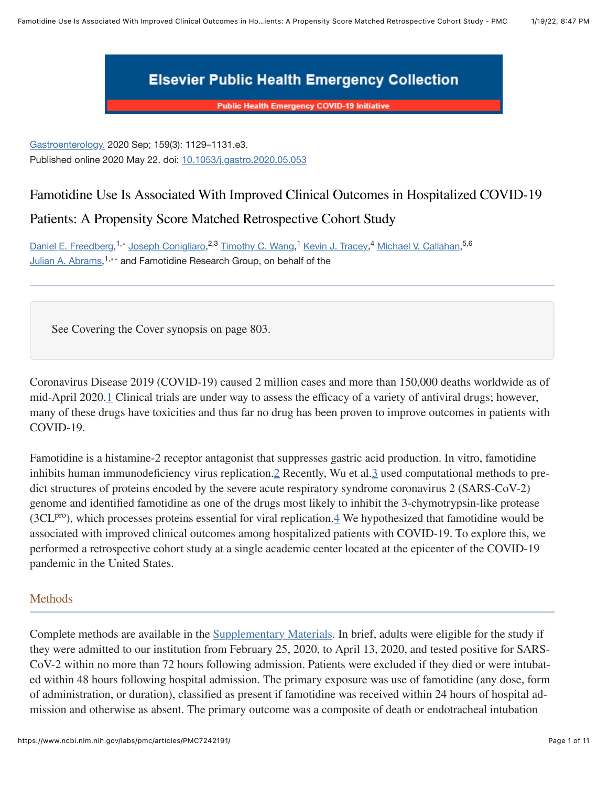

**Public Health Emergency COVID-19 Initiative** 

[Gastroenterology.](https://www.ncbi.nlm.nih.gov/labs/pmc/articles/PMC7242191/#) 2020 Sep; 159(3): 1129–1131.e3. Published online 2020 May 22. doi: [10.1053/j.gastro.2020.05.053](https://dx.doi.org/10.1053%2Fj.gastro.2020.05.053)

# Famotidine Use Is Associated With Improved Clinical Outcomes in Hospitalized COVID-19 Patients: A Propensity Score Matched Retrospective Cohort Study

[Daniel E. Freedberg](https://www.ncbi.nlm.nih.gov/pubmed/?term=Freedberg%20DE%5BAuthor%5D&cauthor=true&cauthor_uid=32446698),<sup>1,∗</sup> [Joseph Conigliaro,](https://www.ncbi.nlm.nih.gov/pubmed/?term=Conigliaro%20J%5BAuthor%5D&cauthor=true&cauthor_uid=32446698)<sup>2,3</sup> [Timothy C. Wang](https://www.ncbi.nlm.nih.gov/pubmed/?term=Wang%20TC%5BAuthor%5D&cauthor=true&cauthor_uid=32446698),<sup>1</sup> [Kevin J. Tracey,](https://www.ncbi.nlm.nih.gov/pubmed/?term=Tracey%20KJ%5BAuthor%5D&cauthor=true&cauthor_uid=32446698)<sup>4</sup> [Michael V. Callahan](https://www.ncbi.nlm.nih.gov/pubmed/?term=Callahan%20MV%5BAuthor%5D&cauthor=true&cauthor_uid=32446698),<sup>5,6</sup> [Julian A. Abrams,](https://www.ncbi.nlm.nih.gov/pubmed/?term=Abrams%20JA%5BAuthor%5D&cauthor=true&cauthor_uid=32446698)<sup>1,∗∗</sup> and Famotidine Research Group, on behalf of the

See Covering the Cover synopsis on page 803.

Coronavirus Disease 2019 (COVID-19) caused 2 million cases and more than 150,000 deaths worldwide as of mid-April 2020[.1](#page-10-0) Clinical trials are under way to assess the efficacy of a variety of antiviral drugs; however, many of these drugs have toxicities and thus far no drug has been proven to improve outcomes in patients with COVID-19.

Famotidine is a histamine-2 receptor antagonist that suppresses gastric acid production. In vitro, famotidine inhibits human immunodeficiency virus replication. [2](#page-10-1) Recently, Wu et al. [3](#page-10-2) used computational methods to predict structures of proteins encoded by the severe acute respiratory syndrome coronavirus 2 (SARS-CoV-2) genome and identified famotidine as one of the drugs most likely to inhibit the 3-chymotrypsin-like protease (3CL $P^{ro}$ ), which processes proteins essential for viral replication. $\frac{1}{4}$  We hypothesized that famotidine would be associated with improved clinical outcomes among hospitalized patients with COVID-19. To explore this, we performed a retrospective cohort study at a single academic center located at the epicenter of the COVID-19 pandemic in the United States.

# **Methods**

Complete methods are available in the [Supplementary Materials.](#page-4-0) In brief, adults were eligible for the study if they were admitted to our institution from February 25, 2020, to April 13, 2020, and tested positive for SARS-CoV-2 within no more than 72 hours following admission. Patients were excluded if they died or were intubated within 48 hours following hospital admission. The primary exposure was use of famotidine (any dose, form of administration, or duration), classified as present if famotidine was received within 24 hours of hospital ad‐ mission and otherwise as absent. The primary outcome was a composite of death or endotracheal intubation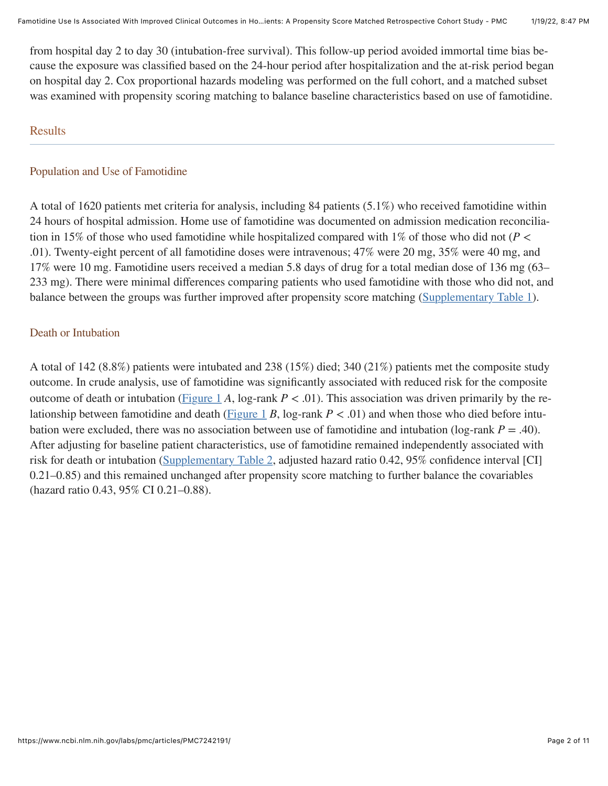from hospital day 2 to day 30 (intubation-free survival). This follow-up period avoided immortal time bias be‐ cause the exposure was classified based on the 24-hour period after hospitalization and the at-risk period began on hospital day 2. Cox proportional hazards modeling was performed on the full cohort, and a matched subset was examined with propensity scoring matching to balance baseline characteristics based on use of famotidine.

#### **Results**

#### Population and Use of Famotidine

A total of 1620 patients met criteria for analysis, including 84 patients (5.1%) who received famotidine within 24 hours of hospital admission. Home use of famotidine was documented on admission medication reconcilia‐ tion in 15% of those who used famotidine while hospitalized compared with 1% of those who did not  $(P \leq$ .01). Twenty-eight percent of all famotidine doses were intravenous; 47% were 20 mg, 35% were 40 mg, and 17% were 10 mg. Famotidine users received a median 5.8 days of drug for a total median dose of 136 mg (63– 233 mg). There were minimal differences comparing patients who used famotidine with those who did not, and balance between the groups was further improved after propensity score matching ([Supplementary Table 1](https://www.ncbi.nlm.nih.gov/labs/pmc/articles/PMC7242191/table/tblS1/)).

#### Death or Intubation

A total of 142 (8.8%) patients were intubated and 238 (15%) died; 340 (21%) patients met the composite study outcome. In crude analysis, use of famotidine was significantly associated with reduced risk for the composite outcome of death or intubation [\(Figure 1](https://www.ncbi.nlm.nih.gov/labs/pmc/articles/PMC7242191/figure/fig1/) A, log-rank  $P < .01$ ). This association was driven primarily by the re-lationship between famotidine and death ([Figure 1](https://www.ncbi.nlm.nih.gov/labs/pmc/articles/PMC7242191/figure/fig1/) *B*, log-rank  $P < .01$ ) and when those who died before intubation were excluded, there was no association between use of famotidine and intubation ( $log-rank P = .40$ ). After adjusting for baseline patient characteristics, use of famotidine remained independently associated with risk for death or intubation [\(Supplementary Table 2,](https://www.ncbi.nlm.nih.gov/labs/pmc/articles/PMC7242191/table/tblS2/) adjusted hazard ratio 0.42, 95% confidence interval [CI] 0.21–0.85) and this remained unchanged after propensity score matching to further balance the covariables (hazard ratio 0.43, 95% CI 0.21–0.88).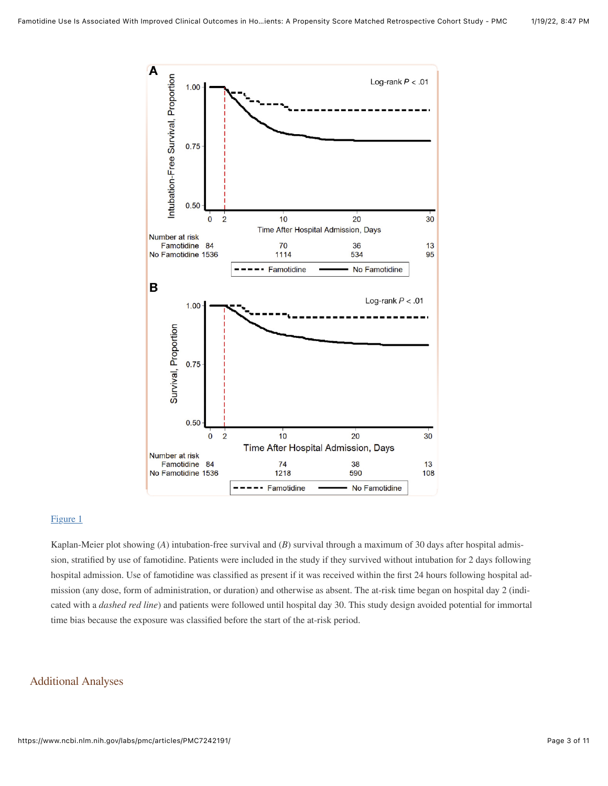

#### [Figure 1](https://www.ncbi.nlm.nih.gov/labs/pmc/articles/PMC7242191/figure/fig1/)

Kaplan-Meier plot showing (*A*) intubation-free survival and (*B*) survival through a maximum of 30 days after hospital admission, stratified by use of famotidine. Patients were included in the study if they survived without intubation for 2 days following hospital admission. Use of famotidine was classified as present if it was received within the first 24 hours following hospital admission (any dose, form of administration, or duration) and otherwise as absent. The at-risk time began on hospital day 2 (indicated with a *dashed red line*) and patients were followed until hospital day 30. This study design avoided potential for immortal time bias because the exposure was classified before the start of the at-risk period.

#### Additional Analyses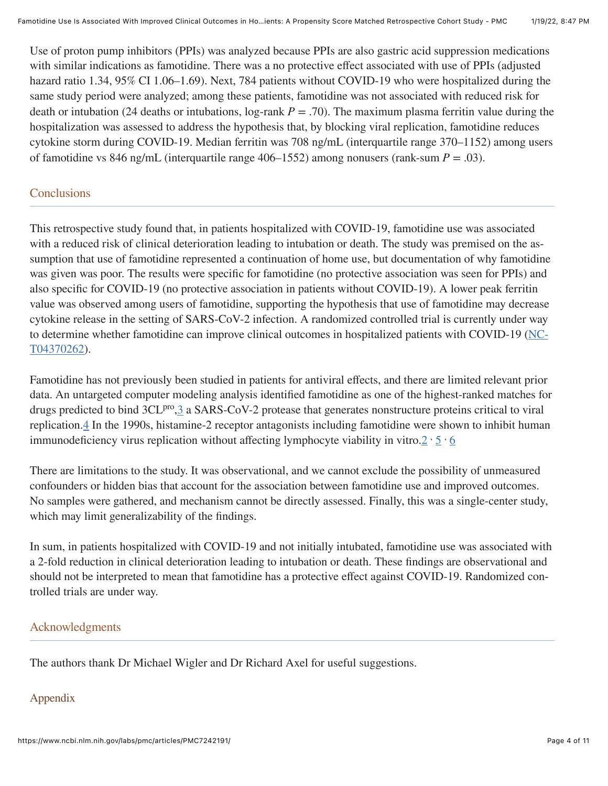Use of proton pump inhibitors (PPIs) was analyzed because PPIs are also gastric acid suppression medications with similar indications as famotidine. There was a no protective effect associated with use of PPIs (adjusted hazard ratio 1.34, 95% CI 1.06–1.69). Next, 784 patients without COVID-19 who were hospitalized during the same study period were analyzed; among these patients, famotidine was not associated with reduced risk for death or intubation (24 deaths or intubations,  $log-rank P = .70$ ). The maximum plasma ferritin value during the hospitalization was assessed to address the hypothesis that, by blocking viral replication, famotidine reduces cytokine storm during COVID-19. Median ferritin was 708 ng/mL (interquartile range 370–1152) among users of famotidine vs 846 ng/mL (interquartile range 406–1552) among nonusers (rank-sum  $P = .03$ ).

### **Conclusions**

This retrospective study found that, in patients hospitalized with COVID-19, famotidine use was associated with a reduced risk of clinical deterioration leading to intubation or death. The study was premised on the assumption that use of famotidine represented a continuation of home use, but documentation of why famotidine was given was poor. The results were specific for famotidine (no protective association was seen for PPIs) and also specific for COVID-19 (no protective association in patients without COVID-19). A lower peak ferritin value was observed among users of famotidine, supporting the hypothesis that use of famotidine may decrease cytokine release in the setting of SARS-CoV-2 infection. A randomized controlled trial is currently under way [to determine whether famotidine can improve clinical outcomes in hospitalized patients with COVID-19 \(NC](https://clinicaltrials.gov/ct2/show/NCT04370262)-T04370262).

Famotidine has not previously been studied in patients for antiviral effects, and there are limited relevant prior data. An untargeted computer modeling analysis identified famotidine as one of the highest-ranked matches for drugs predicted to bind 3CL<sup>pro</sup>, [3](#page-10-2) a SARS-CoV-2 protease that generates nonstructure proteins critical to viral replication.[4](#page-10-3) In the 1990s, histamine-2 receptor antagonists including famotidine were shown to inhibit human immunodeficiency virus replication without affecting lymphocyte viability in vitro. $2 \cdot 5 \cdot 6$  $2 \cdot 5 \cdot 6$  $2 \cdot 5 \cdot 6$  $2 \cdot 5 \cdot 6$  $2 \cdot 5 \cdot 6$ 

There are limitations to the study. It was observational, and we cannot exclude the possibility of unmeasured confounders or hidden bias that account for the association between famotidine use and improved outcomes. No samples were gathered, and mechanism cannot be directly assessed. Finally, this was a single-center study, which may limit generalizability of the findings.

In sum, in patients hospitalized with COVID-19 and not initially intubated, famotidine use was associated with a 2-fold reduction in clinical deterioration leading to intubation or death. These findings are observational and should not be interpreted to mean that famotidine has a protective effect against COVID-19. Randomized controlled trials are under way.

#### Acknowledgments

The authors thank Dr Michael Wigler and Dr Richard Axel for useful suggestions.

# Appendix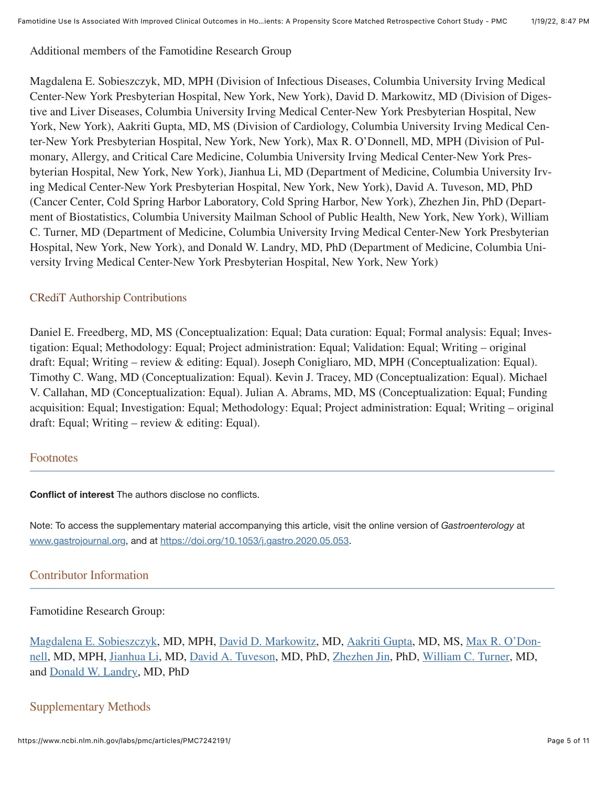Additional members of the Famotidine Research Group

Magdalena E. Sobieszczyk, MD, MPH (Division of Infectious Diseases, Columbia University Irving Medical Center-New York Presbyterian Hospital, New York, New York), David D. Markowitz, MD (Division of Diges‐ tive and Liver Diseases, Columbia University Irving Medical Center-New York Presbyterian Hospital, New York, New York), Aakriti Gupta, MD, MS (Division of Cardiology, Columbia University Irving Medical Cen‐ ter-New York Presbyterian Hospital, New York, New York), Max R. O'Donnell, MD, MPH (Division of Pul‐ monary, Allergy, and Critical Care Medicine, Columbia University Irving Medical Center-New York Pres‐ byterian Hospital, New York, New York), Jianhua Li, MD (Department of Medicine, Columbia University Irv‐ ing Medical Center-New York Presbyterian Hospital, New York, New York), David A. Tuveson, MD, PhD (Cancer Center, Cold Spring Harbor Laboratory, Cold Spring Harbor, New York), Zhezhen Jin, PhD (Depart‐ ment of Biostatistics, Columbia University Mailman School of Public Health, New York, New York), William C. Turner, MD (Department of Medicine, Columbia University Irving Medical Center-New York Presbyterian Hospital, New York, New York), and Donald W. Landry, MD, PhD (Department of Medicine, Columbia Uni‐ versity Irving Medical Center-New York Presbyterian Hospital, New York, New York)

#### CRediT Authorship Contributions

Daniel E. Freedberg, MD, MS (Conceptualization: Equal; Data curation: Equal; Formal analysis: Equal; Inves‐ tigation: Equal; Methodology: Equal; Project administration: Equal; Validation: Equal; Writing – original draft: Equal; Writing – review & editing: Equal). Joseph Conigliaro, MD, MPH (Conceptualization: Equal). Timothy C. Wang, MD (Conceptualization: Equal). Kevin J. Tracey, MD (Conceptualization: Equal). Michael V. Callahan, MD (Conceptualization: Equal). Julian A. Abrams, MD, MS (Conceptualization: Equal; Funding acquisition: Equal; Investigation: Equal; Methodology: Equal; Project administration: Equal; Writing – original draft: Equal; Writing – review & editing: Equal).

#### Footnotes

**Conflict of interest** The authors disclose no conflicts.

Note: To access the supplementary material accompanying this article, visit the online version of *Gastroenterology* at [www.gastrojournal.org,](http://www.gastrojournal.org/) and at <https://doi.org/10.1053/j.gastro.2020.05.053>.

#### Contributor Information

#### Famotidine Research Group:

[Magdalena E. Sobieszczyk](https://www.ncbi.nlm.nih.gov/pubmed/?term=Sobieszczyk%20ME%5BAuthor%5D&cauthor=true&cauthor_uid=32446698), MD, MPH, [David D. Markowitz](https://www.ncbi.nlm.nih.gov/pubmed/?term=Markowitz%20DD%5BAuthor%5D&cauthor=true&cauthor_uid=32446698), MD, [Aakriti Gupta](https://www.ncbi.nlm.nih.gov/pubmed/?term=Gupta%20A%5BAuthor%5D&cauthor=true&cauthor_uid=32446698), MD, MS, Max R. O'Don‐ [nell, MD, MPH, Jianhua Li, MD, David A. Tuveson, MD, PhD, Zhezhen Jin, PhD, William C. Turner, MD,](https://www.ncbi.nlm.nih.gov/pubmed/?term=O%26%23x02019%3BDonnell%20MR%5BAuthor%5D&cauthor=true&cauthor_uid=32446698) and [Donald W. Landry,](https://www.ncbi.nlm.nih.gov/pubmed/?term=Landry%20DW%5BAuthor%5D&cauthor=true&cauthor_uid=32446698) MD, PhD

# <span id="page-4-0"></span>Supplementary Methods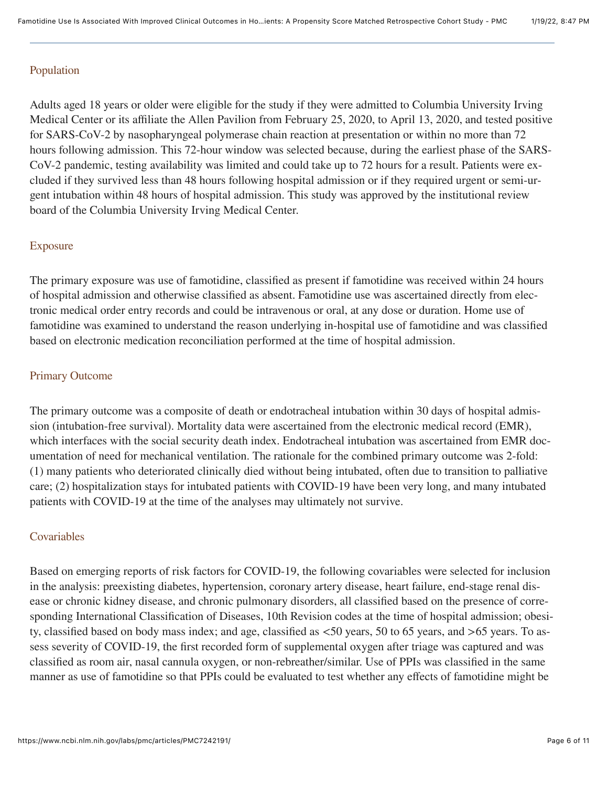### Population

Adults aged 18 years or older were eligible for the study if they were admitted to Columbia University Irving Medical Center or its affiliate the Allen Pavilion from February 25, 2020, to April 13, 2020, and tested positive for SARS-CoV-2 by nasopharyngeal polymerase chain reaction at presentation or within no more than 72 hours following admission. This 72-hour window was selected because, during the earliest phase of the SARS-CoV-2 pandemic, testing availability was limited and could take up to 72 hours for a result. Patients were excluded if they survived less than 48 hours following hospital admission or if they required urgent or semi-urgent intubation within 48 hours of hospital admission. This study was approved by the institutional review board of the Columbia University Irving Medical Center.

## Exposure

The primary exposure was use of famotidine, classified as present if famotidine was received within 24 hours of hospital admission and otherwise classified as absent. Famotidine use was ascertained directly from elec‐ tronic medical order entry records and could be intravenous or oral, at any dose or duration. Home use of famotidine was examined to understand the reason underlying in-hospital use of famotidine and was classified based on electronic medication reconciliation performed at the time of hospital admission.

#### Primary Outcome

The primary outcome was a composite of death or endotracheal intubation within 30 days of hospital admission (intubation-free survival). Mortality data were ascertained from the electronic medical record (EMR), which interfaces with the social security death index. Endotracheal intubation was ascertained from EMR documentation of need for mechanical ventilation. The rationale for the combined primary outcome was 2-fold: (1) many patients who deteriorated clinically died without being intubated, often due to transition to palliative care; (2) hospitalization stays for intubated patients with COVID-19 have been very long, and many intubated patients with COVID-19 at the time of the analyses may ultimately not survive.

#### Covariables

Based on emerging reports of risk factors for COVID-19, the following covariables were selected for inclusion in the analysis: preexisting diabetes, hypertension, coronary artery disease, heart failure, end-stage renal disease or chronic kidney disease, and chronic pulmonary disorders, all classified based on the presence of corresponding International Classification of Diseases, 10th Revision codes at the time of hospital admission; obesity, classified based on body mass index; and age, classified as <50 years, 50 to 65 years, and >65 years. To as‐ sess severity of COVID-19, the first recorded form of supplemental oxygen after triage was captured and was classified as room air, nasal cannula oxygen, or non-rebreather/similar. Use of PPIs was classified in the same manner as use of famotidine so that PPIs could be evaluated to test whether any effects of famotidine might be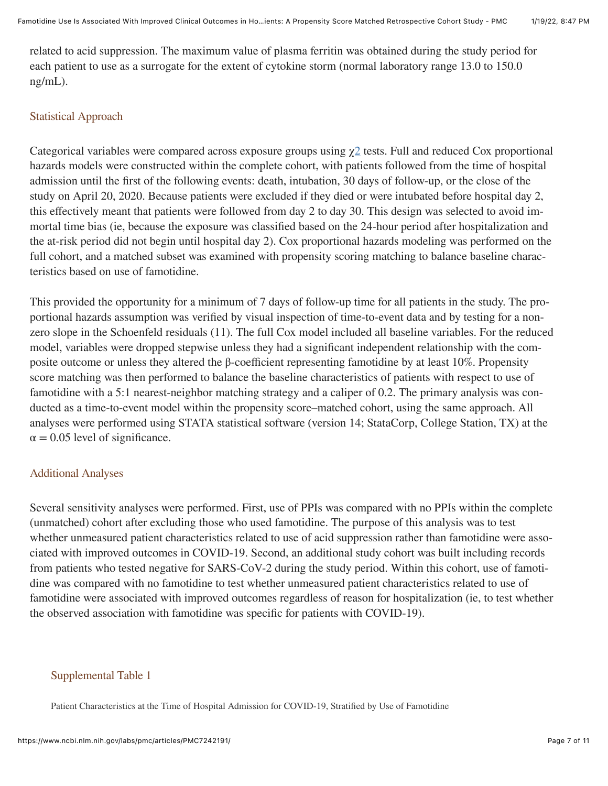related to acid suppression. The maximum value of plasma ferritin was obtained during the study period for each patient to use as a surrogate for the extent of cytokine storm (normal laboratory range 13.0 to 150.0 ng/mL).

#### Statistical Approach

Categorical variables were compared across exposure groups using  $\chi$ <sup>[2](#page-10-1)</sup> tests. Full and reduced Cox proportional hazards models were constructed within the complete cohort, with patients followed from the time of hospital admission until the first of the following events: death, intubation, 30 days of follow-up, or the close of the study on April 20, 2020. Because patients were excluded if they died or were intubated before hospital day 2, this effectively meant that patients were followed from day 2 to day 30. This design was selected to avoid im‐ mortal time bias (ie, because the exposure was classified based on the 24-hour period after hospitalization and the at-risk period did not begin until hospital day 2). Cox proportional hazards modeling was performed on the full cohort, and a matched subset was examined with propensity scoring matching to balance baseline characteristics based on use of famotidine.

This provided the opportunity for a minimum of 7 days of follow-up time for all patients in the study. The proportional hazards assumption was verified by visual inspection of time-to-event data and by testing for a nonzero slope in the Schoenfeld residuals (11). The full Cox model included all baseline variables. For the reduced model, variables were dropped stepwise unless they had a significant independent relationship with the composite outcome or unless they altered the β-coefficient representing famotidine by at least 10%. Propensity score matching was then performed to balance the baseline characteristics of patients with respect to use of famotidine with a 5:1 nearest-neighbor matching strategy and a caliper of 0.2. The primary analysis was conducted as a time-to-event model within the propensity score–matched cohort, using the same approach. All analyses were performed using STATA statistical software (version 14; StataCorp, College Station, TX) at the  $\alpha$  = 0.05 level of significance.

#### Additional Analyses

Several sensitivity analyses were performed. First, use of PPIs was compared with no PPIs within the complete (unmatched) cohort after excluding those who used famotidine. The purpose of this analysis was to test whether unmeasured patient characteristics related to use of acid suppression rather than famotidine were associated with improved outcomes in COVID-19. Second, an additional study cohort was built including records from patients who tested negative for SARS-CoV-2 during the study period. Within this cohort, use of famotidine was compared with no famotidine to test whether unmeasured patient characteristics related to use of famotidine were associated with improved outcomes regardless of reason for hospitalization (ie, to test whether the observed association with famotidine was specific for patients with COVID-19).

#### Supplemental Table 1

Patient Characteristics at the Time of Hospital Admission for COVID-19, Stratified by Use of Famotidine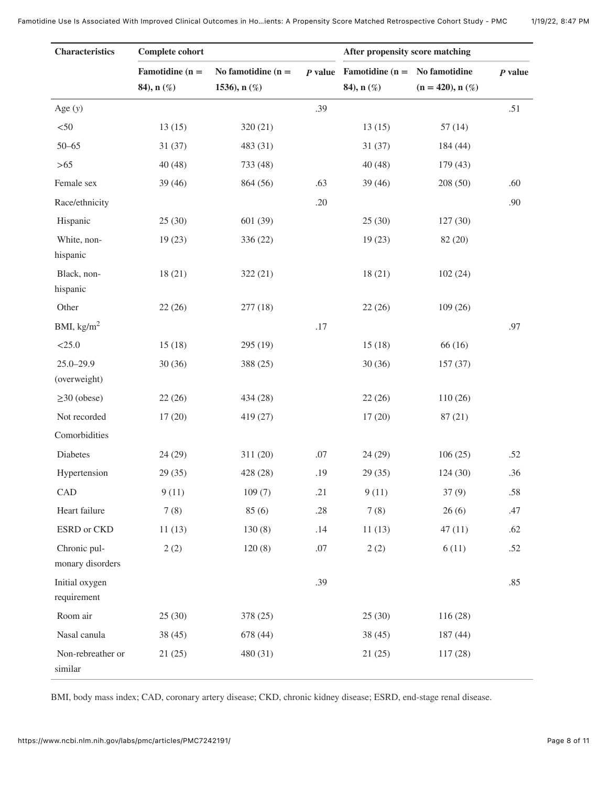| <b>Characteristics</b>           | <b>Complete cohort</b> |                      |       | After propensity score matching                 |                     |           |
|----------------------------------|------------------------|----------------------|-------|-------------------------------------------------|---------------------|-----------|
|                                  | Famotidine ( $n =$     | No famotidine $(n =$ |       | <i>P</i> value Famotidine ( $n = No$ famotidine |                     | $P$ value |
|                                  | 84), n (%)             | 1536), $n$ (%)       |       | 84), n (%)                                      | $(n = 420), n (\%)$ |           |
| Age $(y)$                        |                        |                      | .39   |                                                 |                     | .51       |
| $<$ 50                           | 13(15)                 | 320(21)              |       | 13(15)                                          | 57(14)              |           |
| $50 - 65$                        | 31(37)                 | 483 (31)             |       | 31(37)                                          | 184 (44)            |           |
| $>65$                            | 40(48)                 | 733 (48)             |       | 40(48)                                          | 179(43)             |           |
| Female sex                       | 39(46)                 | 864 (56)             | .63   | 39 (46)                                         | 208(50)             | .60       |
| Race/ethnicity                   |                        |                      | .20   |                                                 |                     | .90       |
| Hispanic                         | 25(30)                 | 601 (39)             |       | 25(30)                                          | 127(30)             |           |
| White, non-<br>hispanic          | 19(23)                 | 336 (22)             |       | 19(23)                                          | 82 (20)             |           |
| Black, non-<br>hispanic          | 18(21)                 | 322(21)              |       | 18(21)                                          | 102(24)             |           |
| Other                            | 22(26)                 | 277(18)              |       | 22(26)                                          | 109(26)             |           |
| BMI, $\text{kg/m}^2$             |                        |                      | $.17$ |                                                 |                     | .97       |
| $<$ 25.0                         | 15(18)                 | 295 (19)             |       | 15(18)                                          | 66 (16)             |           |
| $25.0 - 29.9$                    | 30(36)                 | 388 (25)             |       | 30(36)                                          | 157(37)             |           |
| (overweight)                     |                        |                      |       |                                                 |                     |           |
| $\geq$ 30 (obese)                | 22(26)                 | 434 (28)             |       | 22(26)                                          | 110(26)             |           |
| Not recorded                     | 17(20)                 | 419 (27)             |       | 17(20)                                          | 87(21)              |           |
| Comorbidities                    |                        |                      |       |                                                 |                     |           |
| Diabetes                         | 24(29)                 | 311 (20)             | .07   | 24(29)                                          | 106(25)             | .52       |
| Hypertension                     | 29(35)                 | 428 (28)             | .19   | 29(35)                                          | 124(30)             | .36       |
| CAD                              | 9(11)                  | 109(7)               | .21   | 9(11)                                           | 37(9)               | .58       |
| Heart failure                    | 7(8)                   | 85(6)                | .28   | 7(8)                                            | 26(6)               | .47       |
| ESRD or CKD                      | 11(13)                 | 130(8)               | .14   | 11(13)                                          | 47(11)              | .62       |
| Chronic pul-<br>monary disorders | 2(2)                   | 120(8)               | .07   | 2(2)                                            | 6(11)               | .52       |
| Initial oxygen<br>requirement    |                        |                      | .39   |                                                 |                     | .85       |
| Room air                         | 25(30)                 | 378 (25)             |       | 25(30)                                          | 116(28)             |           |
| Nasal canula                     | 38 (45)                | 678 (44)             |       | 38(45)                                          | 187(44)             |           |
| Non-rebreather or<br>similar     | 21(25)                 | 480 (31)             |       | 21(25)                                          | 117(28)             |           |

BMI, body mass index; CAD, coronary artery disease; CKD, chronic kidney disease; ESRD, end-stage renal disease.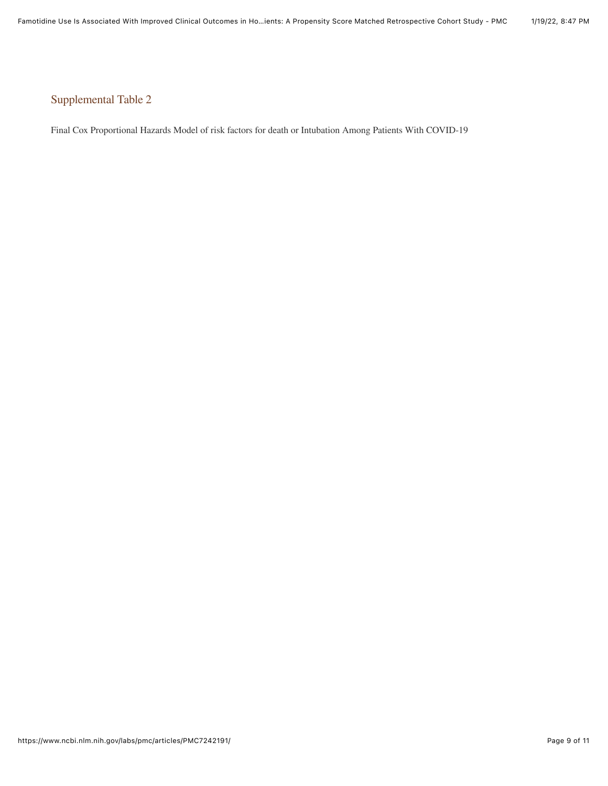# Supplemental Table 2

Final Cox Proportional Hazards Model of risk factors for death or Intubation Among Patients With COVID-19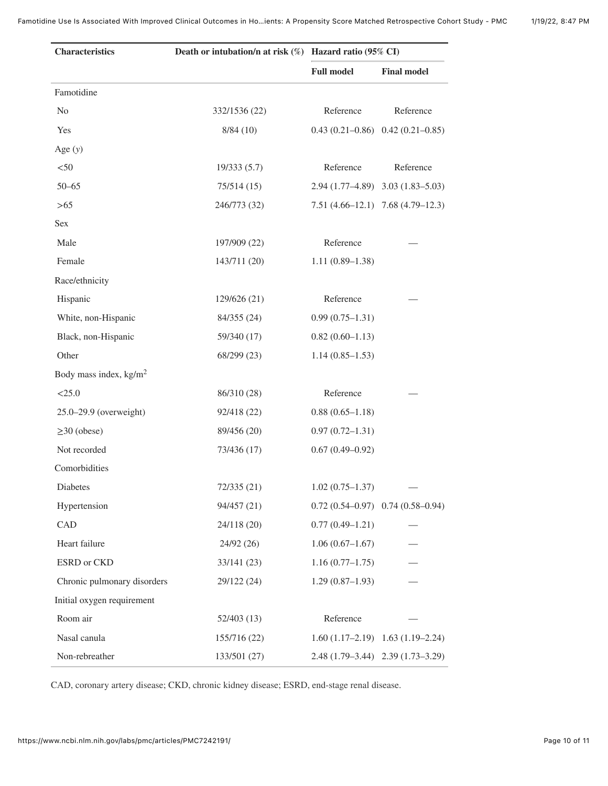| <b>Characteristics</b>           | Death or intubation/n at risk (%) Hazard ratio (95% CI) |                     |                                         |  |
|----------------------------------|---------------------------------------------------------|---------------------|-----------------------------------------|--|
|                                  |                                                         | <b>Full model</b>   | <b>Final model</b>                      |  |
| Famotidine                       |                                                         |                     |                                         |  |
| No                               | 332/1536 (22)                                           | Reference           | Reference                               |  |
| Yes                              | 8/84(10)                                                |                     | $0.43(0.21-0.86)$ $0.42(0.21-0.85)$     |  |
| Age $(y)$                        |                                                         |                     |                                         |  |
| $<$ 50                           | 19/333(5.7)                                             | Reference           | Reference                               |  |
| $50 - 65$                        | 75/514 (15)                                             |                     | 2.94 (1.77-4.89) 3.03 (1.83-5.03)       |  |
| > 65                             | 246/773 (32)                                            |                     | $7.51(4.66-12.1)$ $7.68(4.79-12.3)$     |  |
| Sex                              |                                                         |                     |                                         |  |
| Male                             | 197/909 (22)                                            | Reference           |                                         |  |
| Female                           | 143/711 (20)                                            | $1.11(0.89-1.38)$   |                                         |  |
| Race/ethnicity                   |                                                         |                     |                                         |  |
| Hispanic                         | 129/626 (21)                                            | Reference           |                                         |  |
| White, non-Hispanic              | 84/355 (24)                                             | $0.99(0.75-1.31)$   |                                         |  |
| Black, non-Hispanic              | 59/340 (17)                                             | $0.82(0.60-1.13)$   |                                         |  |
| Other                            | 68/299 (23)                                             | $1.14(0.85-1.53)$   |                                         |  |
| Body mass index, $\text{kg/m}^2$ |                                                         |                     |                                         |  |
| < 25.0                           | 86/310 (28)                                             | Reference           |                                         |  |
| 25.0-29.9 (overweight)           | 92/418 (22)                                             | $0.88(0.65-1.18)$   |                                         |  |
| $\geq$ 30 (obese)                | 89/456 (20)                                             | $0.97(0.72 - 1.31)$ |                                         |  |
| Not recorded                     | 73/436 (17)                                             | $0.67(0.49 - 0.92)$ |                                         |  |
| Comorbidities                    |                                                         |                     |                                         |  |
| Diabetes                         | 72/335 (21)                                             | $1.02(0.75 - 1.37)$ |                                         |  |
| Hypertension                     | 94/457 (21)                                             |                     | $0.72(0.54 - 0.97)$ $0.74(0.58 - 0.94)$ |  |
| CAD                              | 24/118 (20)                                             | $0.77(0.49-1.21)$   |                                         |  |
| Heart failure                    | 24/92(26)                                               | $1.06(0.67-1.67)$   |                                         |  |
| ESRD or CKD                      | 33/141(23)                                              | $1.16(0.77-1.75)$   |                                         |  |
| Chronic pulmonary disorders      | 29/122 (24)                                             | $1.29(0.87-1.93)$   |                                         |  |
| Initial oxygen requirement       |                                                         |                     |                                         |  |
| Room air                         | 52/403(13)                                              | Reference           |                                         |  |
| Nasal canula                     | 155/716 (22)                                            |                     | $1.60(1.17-2.19)$ $1.63(1.19-2.24)$     |  |
| Non-rebreather                   | 133/501 (27)                                            |                     | 2.48 (1.79-3.44) 2.39 (1.73-3.29)       |  |

CAD, coronary artery disease; CKD, chronic kidney disease; ESRD, end-stage renal disease.